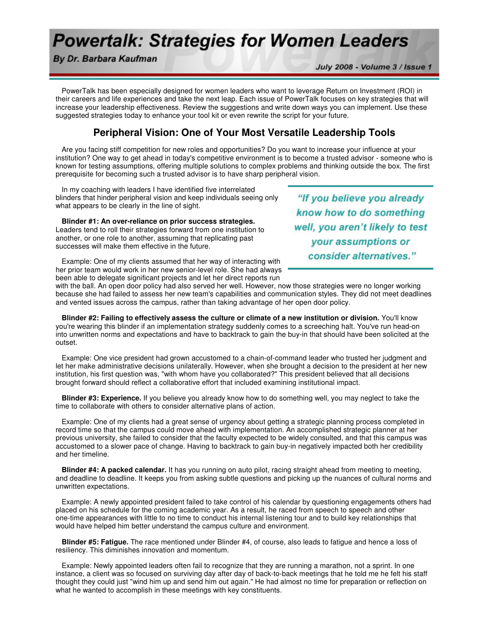## **Powertalk: Strategies for Women Leaders**

By Dr. Barbara Kaufman

July 2008 - Volume 3 / Issue 1

 PowerTalk has been especially designed for women leaders who want to leverage Return on Investment (ROI) in their careers and life experiences and take the next leap. Each issue of PowerTalk focuses on key strategies that will increase your leadership effectiveness. Review the suggestions and write down ways you can implement. Use these suggested strategies today to enhance your tool kit or even rewrite the script for your future.

## **Peripheral Vision: One of Your Most Versatile Leadership Tools**

 Are you facing stiff competition for new roles and opportunities? Do you want to increase your influence at your institution? One way to get ahead in today's competitive environment is to become a trusted advisor - someone who is known for testing assumptions, offering multiple solutions to complex problems and thinking outside the box. The first prerequisite for becoming such a trusted advisor is to have sharp peripheral vision.

 In my coaching with leaders I have identified five interrelated blinders that hinder peripheral vision and keep individuals seeing only what appears to be clearly in the line of sight.

**Blinder #1: An over-reliance on prior success strategies.**

Leaders tend to roll their strategies forward from one institution to another, or one role to another, assuming that replicating past successes will make them effective in the future.

know how to do something well, you aren't likely to test your assumptions or consider alternatives."

"If you believe you already

 Example: One of my clients assumed that her way of interacting with her prior team would work in her new senior-level role. She had always been able to delegate significant projects and let her direct reports run

with the ball. An open door policy had also served her well. However, now those strategies were no longer working because she had failed to assess her new team's capabilities and communication styles. They did not meet deadlines and vented issues across the campus, rather than taking advantage of her open door policy.

 **Blinder #2: Failing to effectively assess the culture or climate of a new institution or division.** You'll know you're wearing this blinder if an implementation strategy suddenly comes to a screeching halt. You've run head-on into unwritten norms and expectations and have to backtrack to gain the buy-in that should have been solicited at the outset.

 Example: One vice president had grown accustomed to a chain-of-command leader who trusted her judgment and let her make administrative decisions unilaterally. However, when she brought a decision to the president at her new institution, his first question was, "with whom have you collaborated?" This president believed that all decisions brought forward should reflect a collaborative effort that included examining institutional impact.

 **Blinder #3: Experience.** If you believe you already know how to do something well, you may neglect to take the time to collaborate with others to consider alternative plans of action.

 Example: One of my clients had a great sense of urgency about getting a strategic planning process completed in record time so that the campus could move ahead with implementation. An accomplished strategic planner at her previous university, she failed to consider that the faculty expected to be widely consulted, and that this campus was accustomed to a slower pace of change. Having to backtrack to gain buy-in negatively impacted both her credibility and her timeline.

 **Blinder #4: A packed calendar.** It has you running on auto pilot, racing straight ahead from meeting to meeting, and deadline to deadline. It keeps you from asking subtle questions and picking up the nuances of cultural norms and unwritten expectations.

 Example: A newly appointed president failed to take control of his calendar by questioning engagements others had placed on his schedule for the coming academic year. As a result, he raced from speech to speech and other one-time appearances with little to no time to conduct his internal listening tour and to build key relationships that would have helped him better understand the campus culture and environment.

 **Blinder #5: Fatigue.** The race mentioned under Blinder #4, of course, also leads to fatigue and hence a loss of resiliency. This diminishes innovation and momentum.

 Example: Newly appointed leaders often fail to recognize that they are running a marathon, not a sprint. In one instance, a client was so focused on surviving day after day of back-to-back meetings that he told me he felt his staff thought they could just "wind him up and send him out again." He had almost no time for preparation or reflection on what he wanted to accomplish in these meetings with key constituents.